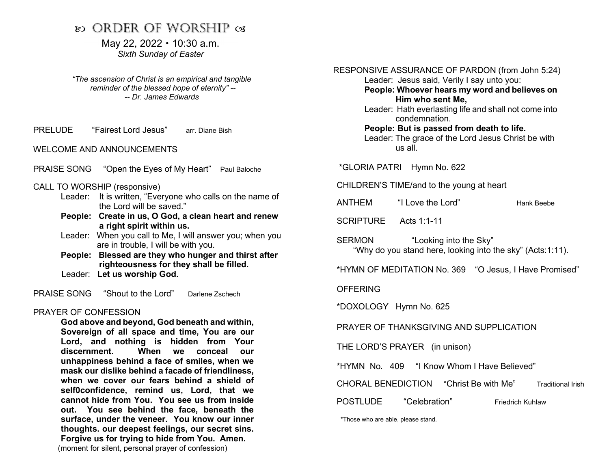# $\infty$  ORDER OF WORSHIP  $\infty$

May 22,  $2022 \cdot 10:30$  a.m. Sixth Sunday of Easter

"The ascension of Christ is an empirical and tangible reminder of the blessed hope of eternity" -- -- Dr. James Edwards

PRELUDE "Fairest Lord Jesus" arr. Diane Bish

WELCOME AND ANNOUNCEMENTS

PRAISE SONG "Open the Eyes of My Heart" Paul Baloche

## CALL TO WORSHIP (responsive)

- Leader: It is written, "Everyone who calls on the name of the Lord will be saved."
- People: Create in us, O God, a clean heart and renew a right spirit within us.
- Leader: When you call to Me, I will answer you; when you are in trouble, I will be with you.
- People: Blessed are they who hunger and thirst after righteousness for they shall be filled.
- Leader: Let us worship God.

PRAISE SONG "Shout to the Lord" Darlene Zschech

### PRAYER OF CONFESSION

God above and beyond, God beneath and within, Sovereign of all space and time, You are our Lord, and nothing is hidden from Your discernment. When we conceal our unhappiness behind a face of smiles, when we mask our dislike behind a facade of friendliness, when we cover our fears behind a shield of self0confidence, remind us, Lord, that we cannot hide from You. You see us from inside out. You see behind the face, beneath the surface, under the veneer. You know our inner thoughts. our deepest feelings, our secret sins. Forgive us for trying to hide from You. Amen.

## RESPONSIVE ASSURANCE OF PARDON (from John 5:24)

Leader: Jesus said, Verily I say unto you:

People: Whoever hears my word and believes on Him who sent Me,

Leader: Hath everlasting life and shall not come into condemnation.

## People: But is passed from death to life.

 Leader: The grace of the Lord Jesus Christ be with us all.

\*GLORIA PATRI Hymn No. 622

CHILDREN'S TIME/and to the young at heart

ANTHEM "I Love the Lord" Hank Beebe

SCRIPTURE Acts 1:1-11

SERMON "Looking into the Sky" "Why do you stand here, looking into the sky" (Acts:1:11).

\*HYMN OF MEDITATION No. 369 "O Jesus, I Have Promised"

## **OFFERING**

\*DOXOLOGY Hymn No. 625

PRAYER OF THANKSGIVING AND SUPPLICATION

THE LORD'S PRAYER (in unison)

\*HYMN No. 409 "I Know Whom I Have Believed"

CHORAL BENEDICTION "Christ Be with Me" Traditional Irish

POSTLUDE "Celebration" Friedrich Kuhlaw

\*Those who are able, please stand.

(moment for silent, personal prayer of confession)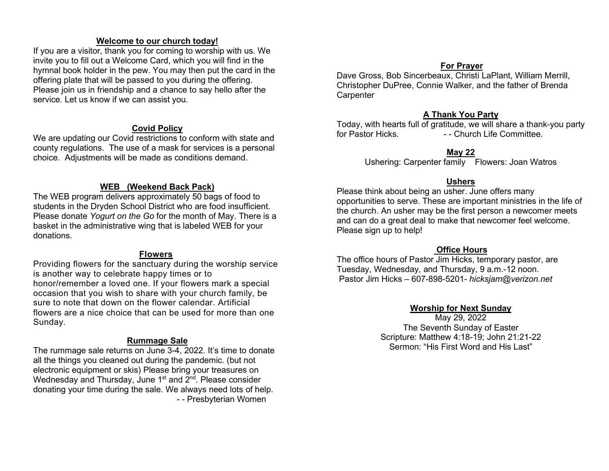## Welcome to our church today!

If you are a visitor, thank you for coming to worship with us. We invite you to fill out a Welcome Card, which you will find in the hymnal book holder in the pew. You may then put the card in the offering plate that will be passed to you during the offering. Please join us in friendship and a chance to say hello after the service. Let us know if we can assist you.

## Covid Policy

We are updating our Covid restrictions to conform with state and county regulations. The use of a mask for services is a personal choice. Adjustments will be made as conditions demand.

## WEB (Weekend Back Pack)

The WEB program delivers approximately 50 bags of food to students in the Dryden School District who are food insufficient. Please donate Yogurt on the Go for the month of May. There is a basket in the administrative wing that is labeled WEB for your donations.

## Flowers

Providing flowers for the sanctuary during the worship service is another way to celebrate happy times or to honor/remember a loved one. If your flowers mark a special occasion that you wish to share with your church family, be sure to note that down on the flower calendar. Artificial flowers are a nice choice that can be used for more than one Sunday.

## Rummage Sale

The rummage sale returns on June 3-4, 2022. It's time to donate all the things you cleaned out during the pandemic. (but not electronic equipment or skis) Please bring your treasures on Wednesday and Thursday, June 1<sup>st</sup> and 2<sup>nd</sup>. Please consider donating your time during the sale. We always need lots of help. - - Presbyterian Women

# For Prayer

Dave Gross, Bob Sincerbeaux, Christi LaPlant, William Merrill, Christopher DuPree, Connie Walker, and the father of Brenda **Carpenter** 

# A Thank You Party

Today, with hearts full of gratitude, we will share a thank-you party for Pastor Hicks. The Church Life Committee.

## May 22

Ushering: Carpenter family Flowers: Joan Watros

# Ushers

Please think about being an usher. June offers many opportunities to serve. These are important ministries in the life of the church. An usher may be the first person a newcomer meets and can do a great deal to make that newcomer feel welcome. Please sign up to help!

## Office Hours

The office hours of Pastor Jim Hicks, temporary pastor, are Tuesday, Wednesday, and Thursday, 9 a.m.-12 noon. Pastor Jim Hicks – 607-898-5201- hicksjam@verizon.net

## Worship for Next Sunday

May 29, 2022 The Seventh Sunday of Easter Scripture: Matthew 4:18-19; John 21:21-22 Sermon: "His First Word and His Last"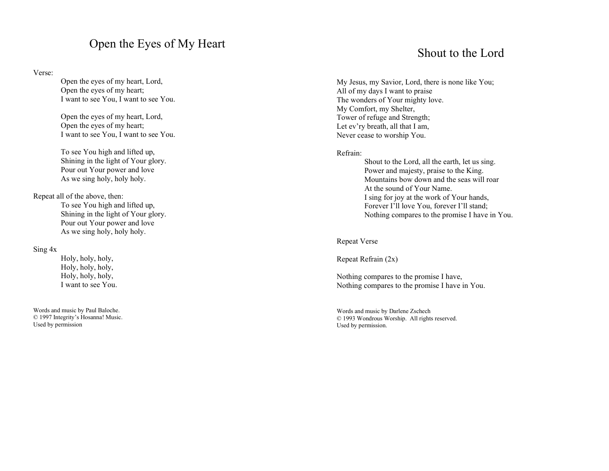# Open the Eyes of My Heart

Verse:

Open the eyes of my heart, Lord, Open the eyes of my heart; I want to see You, I want to see You.

Open the eyes of my heart, Lord, Open the eyes of my heart; I want to see You, I want to see You.

To see You high and lifted up, Shining in the light of Your glory. Pour out Your power and love As we sing holy, holy holy.

Repeat all of the above, then: To see You high and lifted up, Shining in the light of Your glory. Pour out Your power and love As we sing holy, holy holy.

#### Sing 4x

Holy, holy, holy, Holy, holy, holy, Holy, holy, holy, I want to see You.

Words and music by Paul Baloche. © 1997 Integrity's Hosanna! Music. Used by permission

# Shout to the Lord

My Jesus, my Savior, Lord, there is none like You; All of my days I want to praise The wonders of Your mighty love. My Comfort, my Shelter, Tower of refuge and Strength; Let ev'ry breath, all that I am, Never cease to worship You.

#### Refrain:

Shout to the Lord, all the earth, let us sing. Power and majesty, praise to the King. Mountains bow down and the seas will roar At the sound of Your Name. I sing for joy at the work of Your hands, Forever I'll love You, forever I'll stand; Nothing compares to the promise I have in You.

### Repeat Verse

#### Repeat Refrain (2x)

Nothing compares to the promise I have, Nothing compares to the promise I have in You.

Words and music by Darlene Zschech © 1993 Wondrous Worship. All rights reserved. Used by permission.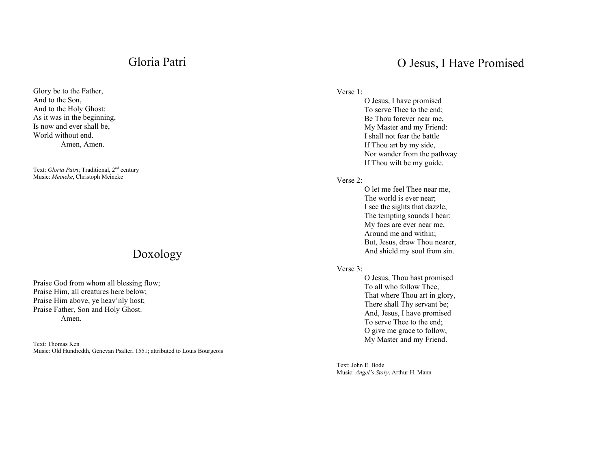# Gloria Patri

Glory be to the Father, And to the Son, And to the Holy Ghost: As it was in the beginning, Is now and ever shall be, World without end. Amen, Amen.

Text: Gloria Patri; Traditional, 2<sup>nd</sup> century Music: Meineke, Christoph Meineke

# Doxology

Praise God from whom all blessing flow; Praise Him, all creatures here below; Praise Him above, ye heav'nly host; Praise Father, Son and Holy Ghost. Amen.

Text: Thomas Ken Music: Old Hundredth, Genevan Psalter, 1551; attributed to Louis Bourgeois

# O Jesus, I Have Promised

Verse 1:

O Jesus, I have promised To serve Thee to the end; Be Thou forever near me, My Master and my Friend: I shall not fear the battle If Thou art by my side, Nor wander from the pathway If Thou wilt be my guide.

#### Verse 2:

O let me feel Thee near me, The world is ever near; I see the sights that dazzle, The tempting sounds I hear: My foes are ever near me, Around me and within; But, Jesus, draw Thou nearer, And shield my soul from sin.

#### Verse 3:

O Jesus, Thou hast promised To all who follow Thee, That where Thou art in glory, There shall Thy servant be; And, Jesus, I have promised To serve Thee to the end; O give me grace to follow, My Master and my Friend.

Text: John E. Bode Music: Angel's Story, Arthur H. Mann